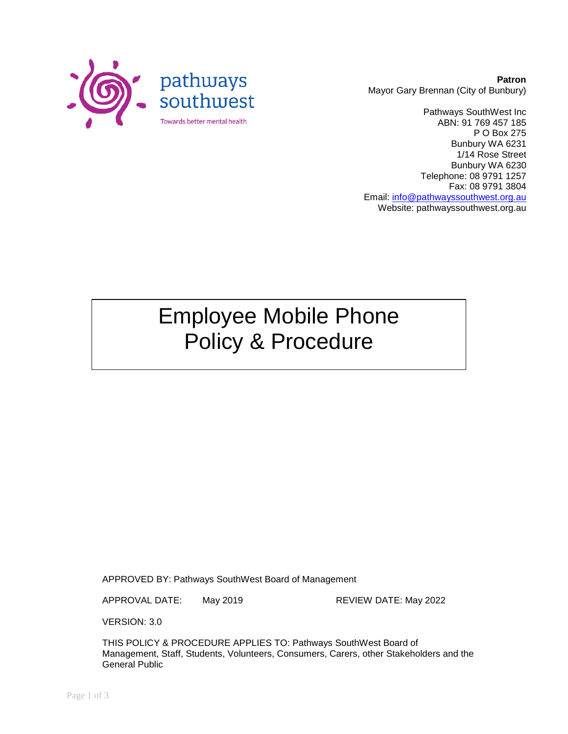

**Patron** Mayor Gary Brennan (City of Bunbury)

Pathways SouthWest Inc ABN: 91 769 457 185 P O Box 275 Bunbury WA 6231 1/14 Rose Street Bunbury WA 6230 Telephone: 08 9791 1257 Fax: 08 9791 3804 Email: [info@pathwayssouthwest.org.au](mailto:info@pathwayssouthwest.org.au) Website: pathwayssouthwest.org.au

# Employee Mobile Phone Policy & Procedure

APPROVED BY: Pathways SouthWest Board of Management

APPROVAL DATE: May 2019 REVIEW DATE: May 2022

VERSION: 3.0

THIS POLICY & PROCEDURE APPLIES TO: Pathways SouthWest Board of Management, Staff, Students, Volunteers, Consumers, Carers, other Stakeholders and the General Public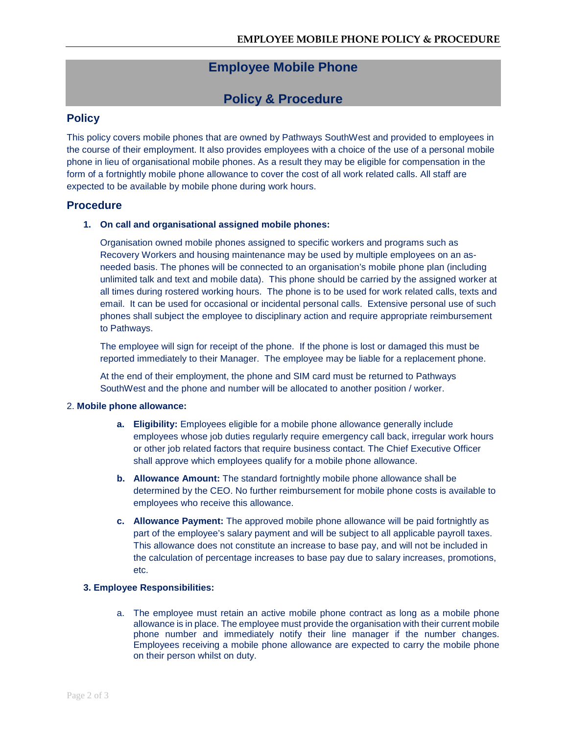# **Employee Mobile Phone**

# **Policy & Procedure**

## **Policy**

This policy covers mobile phones that are owned by Pathways SouthWest and provided to employees in the course of their employment. It also provides employees with a choice of the use of a personal mobile phone in lieu of organisational mobile phones. As a result they may be eligible for compensation in the form of a fortnightly mobile phone allowance to cover the cost of all work related calls. All staff are expected to be available by mobile phone during work hours.

# **Procedure**

## **1. On call and organisational assigned mobile phones:**

Organisation owned mobile phones assigned to specific workers and programs such as Recovery Workers and housing maintenance may be used by multiple employees on an asneeded basis. The phones will be connected to an organisation's mobile phone plan (including unlimited talk and text and mobile data). This phone should be carried by the assigned worker at all times during rostered working hours. The phone is to be used for work related calls, texts and email. It can be used for occasional or incidental personal calls. Extensive personal use of such phones shall subject the employee to disciplinary action and require appropriate reimbursement to Pathways.

The employee will sign for receipt of the phone. If the phone is lost or damaged this must be reported immediately to their Manager. The employee may be liable for a replacement phone.

At the end of their employment, the phone and SIM card must be returned to Pathways SouthWest and the phone and number will be allocated to another position / worker.

#### 2. **Mobile phone allowance:**

- **a. Eligibility:** Employees eligible for a mobile phone allowance generally include employees whose job duties regularly require emergency call back, irregular work hours or other job related factors that require business contact. The Chief Executive Officer shall approve which employees qualify for a mobile phone allowance.
- **b. Allowance Amount:** The standard fortnightly mobile phone allowance shall be determined by the CEO. No further reimbursement for mobile phone costs is available to employees who receive this allowance.
- **c. Allowance Payment:** The approved mobile phone allowance will be paid fortnightly as part of the employee's salary payment and will be subject to all applicable payroll taxes. This allowance does not constitute an increase to base pay, and will not be included in the calculation of percentage increases to base pay due to salary increases, promotions, etc.

## **3. Employee Responsibilities:**

a. The employee must retain an active mobile phone contract as long as a mobile phone allowance is in place. The employee must provide the organisation with their current mobile phone number and immediately notify their line manager if the number changes. Employees receiving a mobile phone allowance are expected to carry the mobile phone on their person whilst on duty.